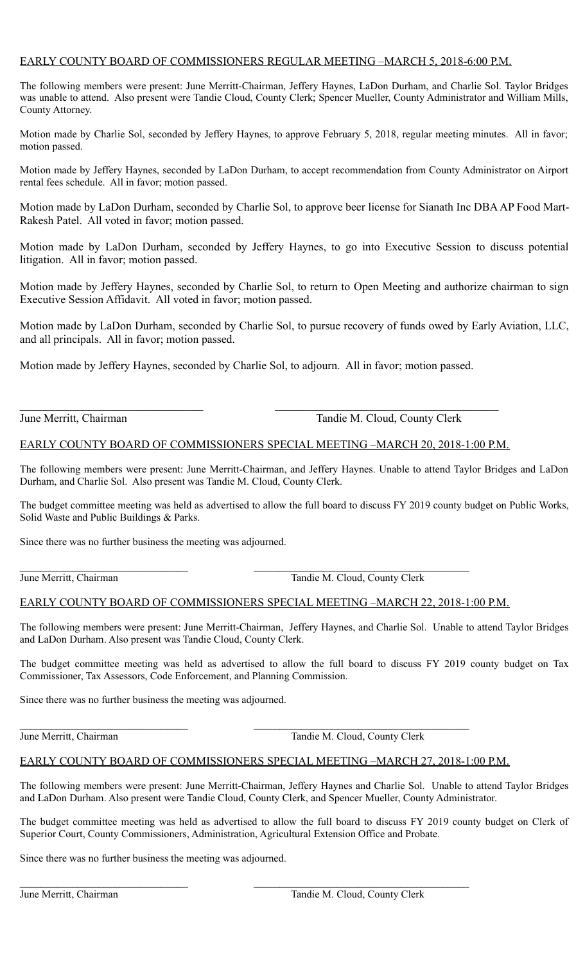# EARLY COUNTY BOARD OF COMMISSIONERS REGULAR MEETING –MARCH 5, 2018-6:00 P.M.

The following members were present: June Merritt-Chairman, Jeffery Haynes, LaDon Durham, and Charlie Sol. Taylor Bridges was unable to attend. Also present were Tandie Cloud, County Clerk; Spencer Mueller, County Administrator and William Mills, County Attorney.

Motion made by Charlie Sol, seconded by Jeffery Haynes, to approve February 5, 2018, regular meeting minutes. All in favor; motion passed.

Motion made by Jeffery Haynes, seconded by LaDon Durham, to accept recommendation from County Administrator on Airport rental fees schedule. All in favor; motion passed.

Motion made by LaDon Durham, seconded by Charlie Sol, to approve beer license for Sianath Inc DBA AP Food Mart-Rakesh Patel. All voted in favor; motion passed.

Motion made by LaDon Durham, seconded by Jeffery Haynes, to go into Executive Session to discuss potential litigation. All in favor; motion passed.

Motion made by Jeffery Haynes, seconded by Charlie Sol, to return to Open Meeting and authorize chairman to sign Executive Session Affidavit. All voted in favor; motion passed.

Motion made by LaDon Durham, seconded by Charlie Sol, to pursue recovery of funds owed by Early Aviation, LLC, and all principals. All in favor; motion passed.

Motion made by Jeffery Haynes, seconded by Charlie Sol, to adjourn. All in favor; motion passed.

June Merritt, Chairman Tandie M. Cloud, County Clerk

# EARLY COUNTY BOARD OF COMMISSIONERS SPECIAL MEETING –MARCH 20, 2018-1:00 P.M.

The following members were present: June Merritt-Chairman, and Jeffery Haynes. Unable to attend Taylor Bridges and LaDon Durham, and Charlie Sol. Also present was Tandie M. Cloud, County Clerk.

The budget committee meeting was held as advertised to allow the full board to discuss FY 2019 county budget on Public Works, Solid Waste and Public Buildings & Parks.

Since there was no further business the meeting was adjourned.

 $\mathcal{L}_\text{max} = \frac{1}{2} \sum_{i=1}^n \mathcal{L}_\text{max}(\mathbf{z}_i - \mathbf{z}_i)$ June Merritt, Chairman Tandie M. Cloud, County Clerk

# EARLY COUNTY BOARD OF COMMISSIONERS SPECIAL MEETING –MARCH 22, 2018-1:00 P.M.

The following members were present: June Merritt-Chairman, Jeffery Haynes, and Charlie Sol. Unable to attend Taylor Bridges and LaDon Durham. Also present was Tandie Cloud, County Clerk.

The budget committee meeting was held as advertised to allow the full board to discuss FY 2019 county budget on Tax Commissioner, Tax Assessors, Code Enforcement, and Planning Commission.

Since there was no further business the meeting was adjourned.

June Merritt, Chairman Tandie M. Cloud, County Clerk

# EARLY COUNTY BOARD OF COMMISSIONERS SPECIAL MEETING –MARCH 27, 2018-1:00 P.M.

The following members were present: June Merritt-Chairman, Jeffery Haynes and Charlie Sol. Unable to attend Taylor Bridges and LaDon Durham. Also present were Tandie Cloud, County Clerk, and Spencer Mueller, County Administrator.

The budget committee meeting was held as advertised to allow the full board to discuss FY 2019 county budget on Clerk of Superior Court, County Commissioners, Administration, Agricultural Extension Office and Probate.

Since there was no further business the meeting was adjourned.